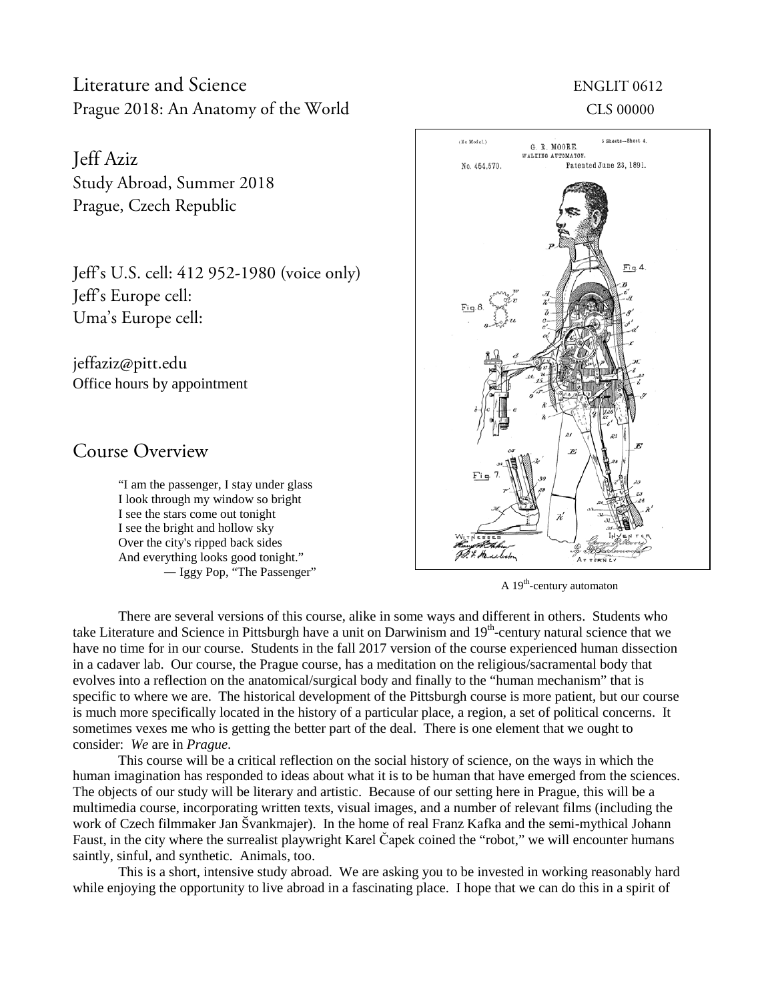Literature and Science ENGLIT 0612 Prague 2018: An Anatomy of the World CLS 00000

Jeff Aziz Study Abroad, Summer 2018 Prague, Czech Republic

Jeff's U.S. cell: 412 952-1980 (voice only) Jeff's Europe cell: Uma's Europe cell:

jeffaziz@pitt.edu Office hours by appointment

## Course Overview

"I am the passenger, I stay under glass I look through my window so bright I see the stars come out tonight I see the bright and hollow sky Over the city's ripped back sides And everything looks good tonight." ― Iggy Pop, "The Passenger"



A 19<sup>th</sup>-century automaton

There are several versions of this course, alike in some ways and different in others. Students who take Literature and Science in Pittsburgh have a unit on Darwinism and  $19<sup>th</sup>$ -century natural science that we have no time for in our course. Students in the fall 2017 version of the course experienced human dissection in a cadaver lab. Our course, the Prague course, has a meditation on the religious/sacramental body that evolves into a reflection on the anatomical/surgical body and finally to the "human mechanism" that is specific to where we are. The historical development of the Pittsburgh course is more patient, but our course is much more specifically located in the history of a particular place, a region, a set of political concerns. It sometimes vexes me who is getting the better part of the deal. There is one element that we ought to consider: *We* are in *Prague*.

This course will be a critical reflection on the social history of science, on the ways in which the human imagination has responded to ideas about what it is to be human that have emerged from the sciences. The objects of our study will be literary and artistic. Because of our setting here in Prague, this will be a multimedia course, incorporating written texts, visual images, and a number of relevant films (including the work of Czech filmmaker Jan Švankmajer). In the home of real Franz Kafka and the semi-mythical Johann Faust, in the city where the surrealist playwright Karel Čapek coined the "robot," we will encounter humans saintly, sinful, and synthetic. Animals, too.

This is a short, intensive study abroad. We are asking you to be invested in working reasonably hard while enjoying the opportunity to live abroad in a fascinating place. I hope that we can do this in a spirit of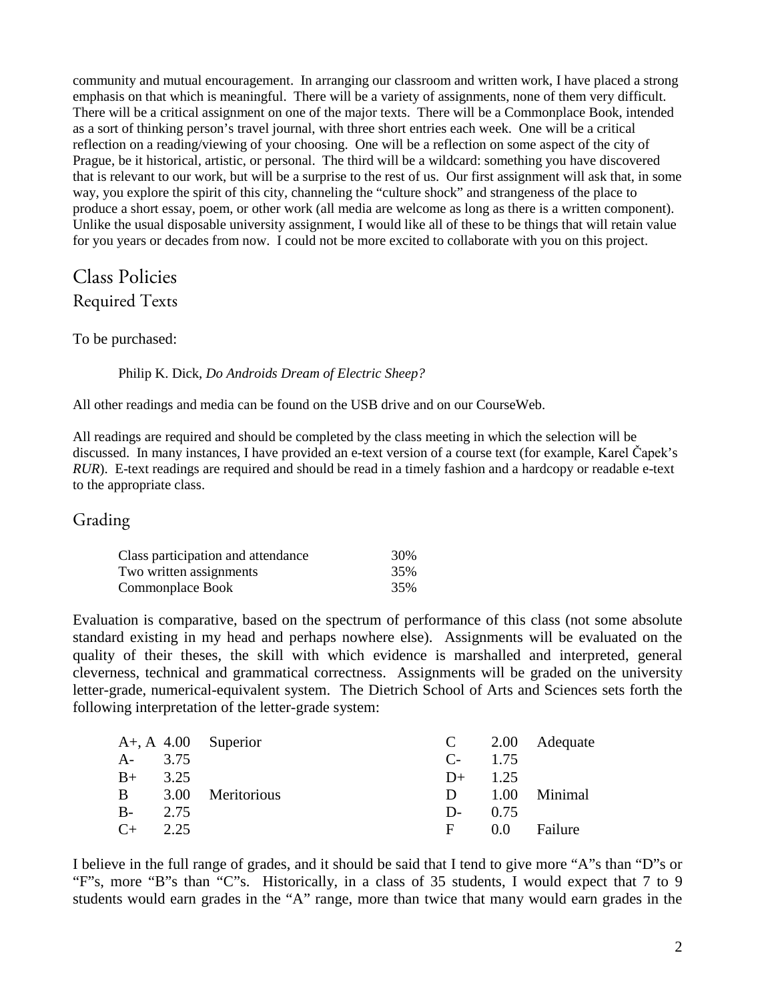community and mutual encouragement. In arranging our classroom and written work, I have placed a strong emphasis on that which is meaningful. There will be a variety of assignments, none of them very difficult. There will be a critical assignment on one of the major texts. There will be a Commonplace Book, intended as a sort of thinking person's travel journal, with three short entries each week. One will be a critical reflection on a reading/viewing of your choosing. One will be a reflection on some aspect of the city of Prague, be it historical, artistic, or personal. The third will be a wildcard: something you have discovered that is relevant to our work, but will be a surprise to the rest of us. Our first assignment will ask that, in some way, you explore the spirit of this city, channeling the "culture shock" and strangeness of the place to produce a short essay, poem, or other work (all media are welcome as long as there is a written component). Unlike the usual disposable university assignment, I would like all of these to be things that will retain value for you years or decades from now. I could not be more excited to collaborate with you on this project.

# Class Policies Required Texts

To be purchased:

Philip K. Dick, *Do Androids Dream of Electric Sheep?*

All other readings and media can be found on the USB drive and on our CourseWeb.

All readings are required and should be completed by the class meeting in which the selection will be discussed. In many instances, I have provided an e-text version of a course text (for example, Karel Čapek's *RUR*). E-text readings are required and should be read in a timely fashion and a hardcopy or readable e-text to the appropriate class.

#### Grading

| Class participation and attendance | 30% |
|------------------------------------|-----|
| Two written assignments            | 35% |
| Commonplace Book                   | 35% |

Evaluation is comparative, based on the spectrum of performance of this class (not some absolute standard existing in my head and perhaps nowhere else). Assignments will be evaluated on the quality of their theses, the skill with which evidence is marshalled and interpreted, general cleverness, technical and grammatical correctness. Assignments will be graded on the university letter-grade, numerical-equivalent system. The Dietrich School of Arts and Sciences sets forth the following interpretation of the letter-grade system:

|           |      | $A+, A 4.00$ Superior |              |               | C 2.00 Adequate |
|-----------|------|-----------------------|--------------|---------------|-----------------|
| $A-$      | 3.75 |                       | $C_{\tau}$   | 1.75          |                 |
| $B+$      | 3.25 |                       | $D+$         | 1.25          |                 |
|           |      | B 3.00 Meritorious    | D            | 1.00          | Minimal         |
| $B-$      | 2.75 |                       | $D-$         | 0.75          |                 |
| $C_{\pm}$ | 2.25 |                       | $\mathbf{F}$ | $0.0^{\circ}$ | Failure         |

I believe in the full range of grades, and it should be said that I tend to give more "A"s than "D"s or "F"s, more "B"s than "C"s. Historically, in a class of 35 students, I would expect that 7 to 9 students would earn grades in the "A" range, more than twice that many would earn grades in the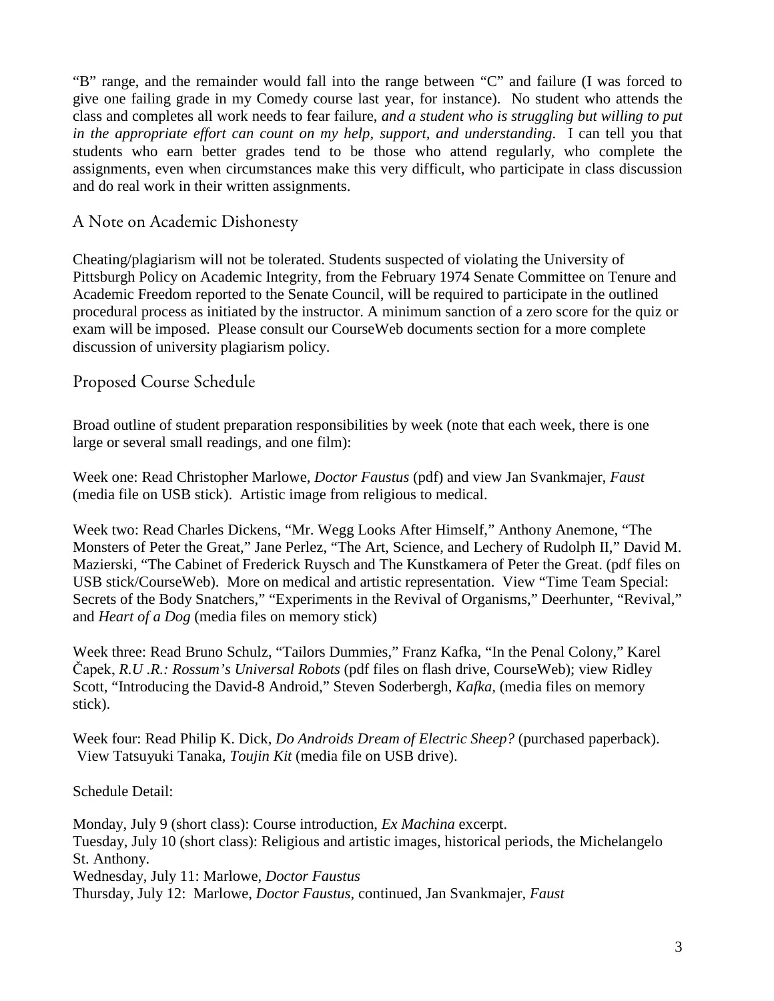"B" range, and the remainder would fall into the range between "C" and failure (I was forced to give one failing grade in my Comedy course last year, for instance). No student who attends the class and completes all work needs to fear failure, *and a student who is struggling but willing to put in the appropriate effort can count on my help, support, and understanding*. I can tell you that students who earn better grades tend to be those who attend regularly, who complete the assignments, even when circumstances make this very difficult, who participate in class discussion and do real work in their written assignments.

### A Note on Academic Dishonesty

Cheating/plagiarism will not be tolerated. Students suspected of violating the University of Pittsburgh Policy on Academic Integrity, from the February 1974 Senate Committee on Tenure and Academic Freedom reported to the Senate Council, will be required to participate in the outlined procedural process as initiated by the instructor. A minimum sanction of a zero score for the quiz or exam will be imposed. Please consult our CourseWeb documents section for a more complete discussion of university plagiarism policy.

#### Proposed Course Schedule

Broad outline of student preparation responsibilities by week (note that each week, there is one large or several small readings, and one film):

Week one: Read Christopher Marlowe, *Doctor Faustus* (pdf) and view Jan Svankmajer, *Faust* (media file on USB stick). Artistic image from religious to medical.

Week two: Read Charles Dickens, "Mr. Wegg Looks After Himself," Anthony Anemone, "The Monsters of Peter the Great," Jane Perlez, "The Art, Science, and Lechery of Rudolph II," David M. Mazierski, "The Cabinet of Frederick Ruysch and The Kunstkamera of Peter the Great. (pdf files on USB stick/CourseWeb). More on medical and artistic representation. View "Time Team Special: Secrets of the Body Snatchers," "Experiments in the Revival of Organisms," Deerhunter, "Revival," and *Heart of a Dog* (media files on memory stick)

Week three: Read Bruno Schulz, "Tailors Dummies," Franz Kafka, "In the Penal Colony," Karel Čapek, *R.U .R.: Rossum's Universal Robots* (pdf files on flash drive, CourseWeb); view Ridley Scott, "Introducing the David-8 Android," Steven Soderbergh, *Kafka,* (media files on memory stick).

Week four: Read Philip K. Dick, *Do Androids Dream of Electric Sheep?* (purchased paperback). View Tatsuyuki Tanaka, *Toujin Kit* (media file on USB drive).

#### Schedule Detail:

Monday, July 9 (short class): Course introduction, *Ex Machina* excerpt. Tuesday, July 10 (short class): Religious and artistic images, historical periods, the Michelangelo St. Anthony. Wednesday, July 11: Marlowe, *Doctor Faustus* Thursday, July 12: Marlowe, *Doctor Faustus*, continued, Jan Svankmajer, *Faust*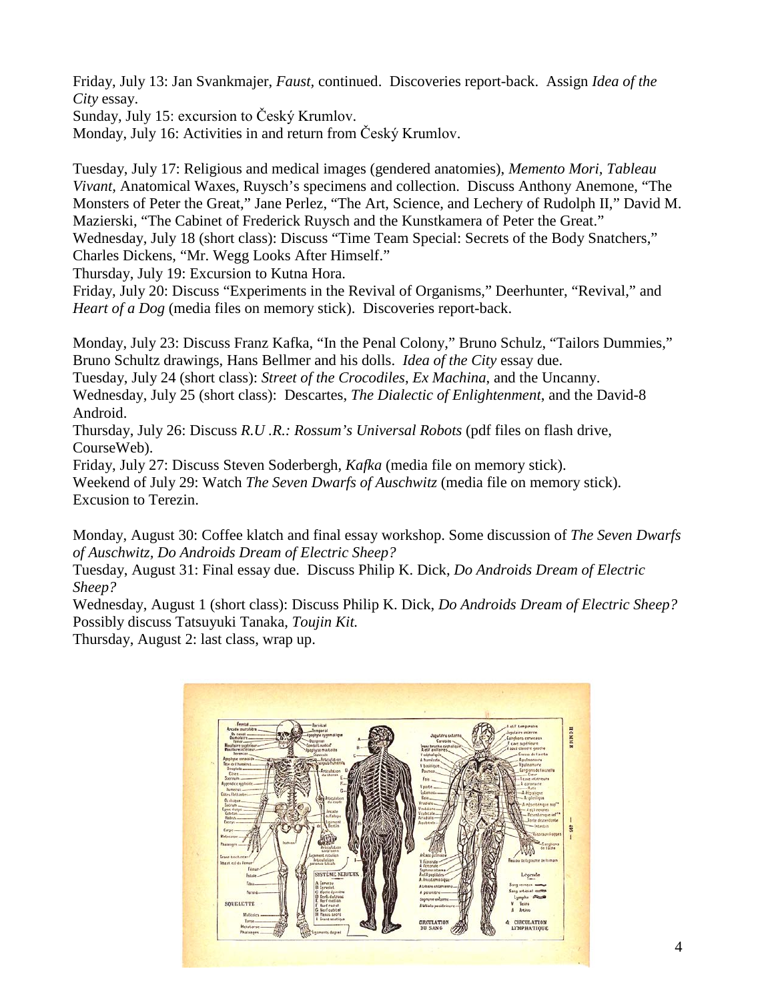Friday, July 13: Jan Svankmajer, *Faust,* continued. Discoveries report-back. Assign *Idea of the City* essay.

Sunday, July 15: excursion to Český Krumlov.

Monday, July 16: Activities in and return from Český Krumlov.

Tuesday, July 17: Religious and medical images (gendered anatomies), *Memento Mori, Tableau Vivant,* Anatomical Waxes, Ruysch's specimens and collection. Discuss Anthony Anemone, "The Monsters of Peter the Great," Jane Perlez, "The Art, Science, and Lechery of Rudolph II," David M. Mazierski, "The Cabinet of Frederick Ruysch and the Kunstkamera of Peter the Great." Wednesday, July 18 (short class): Discuss "Time Team Special: Secrets of the Body Snatchers,"

Charles Dickens, "Mr. Wegg Looks After Himself."

Thursday, July 19: Excursion to Kutna Hora.

Friday, July 20: Discuss "Experiments in the Revival of Organisms," Deerhunter, "Revival," and *Heart of a Dog* (media files on memory stick). Discoveries report-back.

Monday, July 23: Discuss Franz Kafka, "In the Penal Colony," Bruno Schulz, "Tailors Dummies," Bruno Schultz drawings, Hans Bellmer and his dolls. *Idea of the City* essay due.

Tuesday, July 24 (short class): *Street of the Crocodiles*, *Ex Machina*, and the Uncanny.

Wednesday, July 25 (short class): Descartes, *The Dialectic of Enlightenment*, and the David-8 Android.

Thursday, July 26: Discuss *R.U .R.: Rossum's Universal Robots* (pdf files on flash drive, CourseWeb).

Friday, July 27: Discuss Steven Soderbergh, *Kafka* (media file on memory stick). Weekend of July 29: Watch *The Seven Dwarfs of Auschwitz* (media file on memory stick). Excusion to Terezin.

Monday, August 30: Coffee klatch and final essay workshop. Some discussion of *The Seven Dwarfs of Auschwitz, Do Androids Dream of Electric Sheep?*

Tuesday, August 31: Final essay due. Discuss Philip K. Dick, *Do Androids Dream of Electric Sheep?*

Wednesday, August 1 (short class): Discuss Philip K. Dick, *Do Androids Dream of Electric Sheep?* Possibly discuss Tatsuyuki Tanaka, *Toujin Kit.*

Thursday, August 2: last class, wrap up.